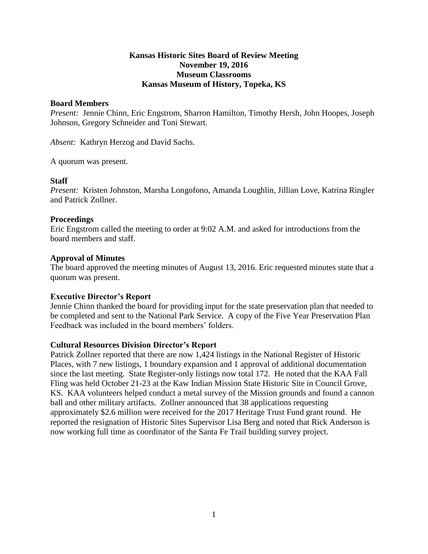### **Kansas Historic Sites Board of Review Meeting November 19, 2016 Museum Classrooms Kansas Museum of History, Topeka, KS**

### **Board Members**

*Present:* Jennie Chinn, Eric Engstrom, Sharron Hamilton, Timothy Hersh, John Hoopes, Joseph Johnson, Gregory Schneider and Toni Stewart.

*Absent:* Kathryn Herzog and David Sachs.

A quorum was present.

#### **Staff**

*Present:* Kristen Johnston, Marsha Longofono, Amanda Loughlin, Jillian Love, Katrina Ringler and Patrick Zollner.

#### **Proceedings**

Eric Engstrom called the meeting to order at 9:02 A.M. and asked for introductions from the board members and staff.

#### **Approval of Minutes**

The board approved the meeting minutes of August 13, 2016. Eric requested minutes state that a quorum was present.

### **Executive Director's Report**

Jennie Chinn thanked the board for providing input for the state preservation plan that needed to be completed and sent to the National Park Service. A copy of the Five Year Preservation Plan Feedback was included in the board members' folders.

#### **Cultural Resources Division Director's Report**

Patrick Zollner reported that there are now 1,424 listings in the National Register of Historic Places, with 7 new listings, 1 boundary expansion and 1 approval of additional documentation since the last meeting. State Register-only listings now total 172. He noted that the KAA Fall Fling was held October 21-23 at the Kaw Indian Mission State Historic Site in Council Grove, KS. KAA volunteers helped conduct a metal survey of the Mission grounds and found a cannon ball and other military artifacts. Zollner announced that 38 applications requesting approximately \$2.6 million were received for the 2017 Heritage Trust Fund grant round. He reported the resignation of Historic Sites Supervisor Lisa Berg and noted that Rick Anderson is now working full time as coordinator of the Santa Fe Trail building survey project.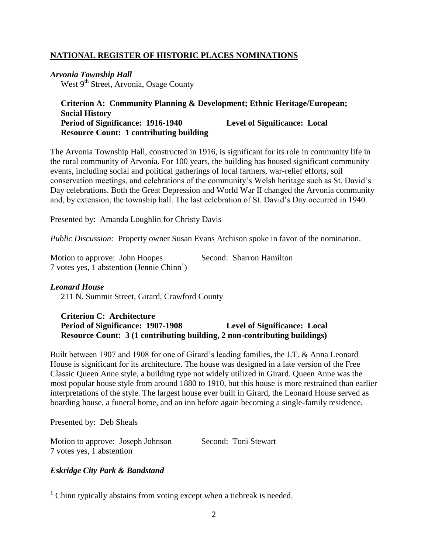## **NATIONAL REGISTER OF HISTORIC PLACES NOMINATIONS**

# *Arvonia Township Hall*

West 9<sup>th</sup> Street, Arvonia, Osage County

### **Criterion A: Community Planning & Development; Ethnic Heritage/European; Social History Period of Significance: 1916-1940 Level of Significance: Local Resource Count: 1 contributing building**

The Arvonia Township Hall, constructed in 1916, is significant for its role in community life in the rural community of Arvonia. For 100 years, the building has housed significant community events, including social and political gatherings of local farmers, war-relief efforts, soil conservation meetings, and celebrations of the community's Welsh heritage such as St. David's Day celebrations. Both the Great Depression and World War II changed the Arvonia community and, by extension, the township hall. The last celebration of St. David's Day occurred in 1940.

Presented by: Amanda Loughlin for Christy Davis

*Public Discussion:* Property owner Susan Evans Atchison spoke in favor of the nomination.

| Motion to approve: John Hoopes                         | Second: Sharron Hamilton |
|--------------------------------------------------------|--------------------------|
| 7 votes yes, 1 abstention (Jennie Chinn <sup>1</sup> ) |                          |

### *Leonard House*

211 N. Summit Street, Girard, Crawford County

### **Criterion C: Architecture Period of Significance: 1907-1908 Level of Significance: Local Resource Count: 3 (1 contributing building, 2 non-contributing buildings)**

Built between 1907 and 1908 for one of Girard's leading families, the J.T. & Anna Leonard House is significant for its architecture. The house was designed in a late version of the Free Classic Queen Anne style, a building type not widely utilized in Girard. Queen Anne was the most popular house style from around 1880 to 1910, but this house is more restrained than earlier interpretations of the style. The largest house ever built in Girard, the Leonard House served as boarding house, a funeral home, and an inn before again becoming a single-family residence.

Presented by: Deb Sheals

 $\overline{a}$ 

| Motion to approve: Joseph Johnson | Second: Toni Stewart |
|-----------------------------------|----------------------|
| 7 votes yes, 1 abstention         |                      |

### *Eskridge City Park & Bandstand*

 $1$  Chinn typically abstains from voting except when a tiebreak is needed.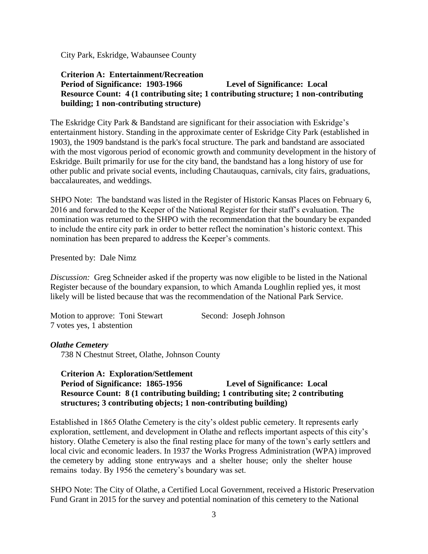City Park, Eskridge, Wabaunsee County

## **Criterion A: Entertainment/Recreation Period of Significance: 1903-1966 Level of Significance: Local Resource Count: 4 (1 contributing site; 1 contributing structure; 1 non-contributing building; 1 non-contributing structure)**

The Eskridge City Park & Bandstand are significant for their association with Eskridge's entertainment history. Standing in the approximate center of Eskridge City Park (established in 1903), the 1909 bandstand is the park's focal structure. The park and bandstand are associated with the most vigorous period of economic growth and community development in the history of Eskridge. Built primarily for use for the city band, the bandstand has a long history of use for other public and private social events, including Chautauquas, carnivals, city fairs, graduations, baccalaureates, and weddings.

SHPO Note: The bandstand was listed in the Register of Historic Kansas Places on February 6, 2016 and forwarded to the Keeper of the National Register for their staff's evaluation. The nomination was returned to the SHPO with the recommendation that the boundary be expanded to include the entire city park in order to better reflect the nomination's historic context. This nomination has been prepared to address the Keeper's comments.

Presented by: Dale Nimz

*Discussion:* Greg Schneider asked if the property was now eligible to be listed in the National Register because of the boundary expansion, to which Amanda Loughlin replied yes, it most likely will be listed because that was the recommendation of the National Park Service.

Motion to approve: Toni Stewart Second: Joseph Johnson 7 votes yes, 1 abstention

*Olathe Cemetery*

738 N Chestnut Street, Olathe, Johnson County

### **Criterion A: Exploration/Settlement**

## **Period of Significance: 1865-1956 Level of Significance: Local Resource Count: 8 (1 contributing building; 1 contributing site; 2 contributing structures; 3 contributing objects; 1 non-contributing building)**

Established in 1865 Olathe Cemetery is the city's oldest public cemetery. It represents early exploration, settlement, and development in Olathe and reflects important aspects of this city's history. Olathe Cemetery is also the final resting place for many of the town's early settlers and local civic and economic leaders. In 1937 the Works Progress Administration (WPA) improved the cemetery by adding stone entryways and a shelter house; only the shelter house remains today. By 1956 the cemetery's boundary was set.

SHPO Note: The City of Olathe, a Certified Local Government, received a Historic Preservation Fund Grant in 2015 for the survey and potential nomination of this cemetery to the National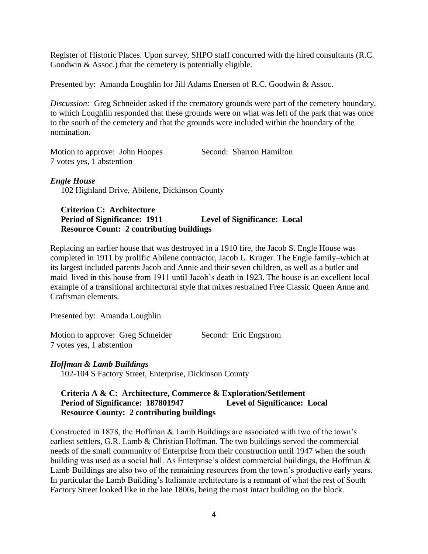Register of Historic Places. Upon survey, SHPO staff concurred with the hired consultants (R.C. Goodwin & Assoc.) that the cemetery is potentially eligible.

Presented by: Amanda Loughlin for Jill Adams Enersen of R.C. Goodwin & Assoc.

*Discussion:* Greg Schneider asked if the crematory grounds were part of the cemetery boundary, to which Loughlin responded that these grounds were on what was left of the park that was once to the south of the cemetery and that the grounds were included within the boundary of the nomination.

Motion to approve: John Hoopes Second: Sharron Hamilton 7 votes yes, 1 abstention

### *Engle House*

102 Highland Drive, Abilene, Dickinson County

### **Criterion C: Architecture Period of Significance: 1911 Level of Significance: Local Resource Count: 2 contributing buildings**

Replacing an earlier house that was destroyed in a 1910 fire, the Jacob S. Engle House was completed in 1911 by prolific Abilene contractor, Jacob L. Kruger. The Engle family–which at its largest included parents Jacob and Annie and their seven children, as well as a butler and maid–lived in this house from 1911 until Jacob's death in 1923. The house is an excellent local example of a transitional architectural style that mixes restrained Free Classic Queen Anne and Craftsman elements.

Presented by: Amanda Loughlin

| Motion to approve: Greg Schneider |  | Second: Eric Engstrom |
|-----------------------------------|--|-----------------------|
| 7 votes yes, 1 abstention         |  |                       |

## *Hoffman & Lamb Buildings*

102-104 S Factory Street, Enterprise, Dickinson County

## **Criteria A & C: Architecture, Commerce & Exploration/Settlement Period of Significance: 187801947 Level of Significance: Local Resource County: 2 contributing buildings**

Constructed in 1878, the Hoffman & Lamb Buildings are associated with two of the town's earliest settlers, G.R. Lamb & Christian Hoffman. The two buildings served the commercial needs of the small community of Enterprise from their construction until 1947 when the south building was used as a social hall. As Enterprise's oldest commercial buildings, the Hoffman & Lamb Buildings are also two of the remaining resources from the town's productive early years. In particular the Lamb Building's Italianate architecture is a remnant of what the rest of South Factory Street looked like in the late 1800s, being the most intact building on the block.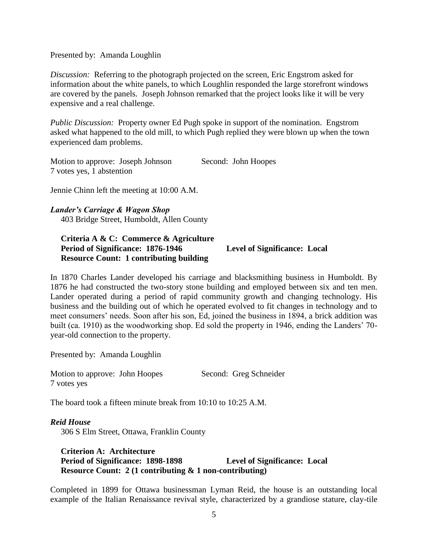Presented by: Amanda Loughlin

*Discussion:* Referring to the photograph projected on the screen, Eric Engstrom asked for information about the white panels, to which Loughlin responded the large storefront windows are covered by the panels. Joseph Johnson remarked that the project looks like it will be very expensive and a real challenge.

*Public Discussion:* Property owner Ed Pugh spoke in support of the nomination. Engstrom asked what happened to the old mill, to which Pugh replied they were blown up when the town experienced dam problems.

Motion to approve: Joseph Johnson Second: John Hoopes 7 votes yes, 1 abstention

Jennie Chinn left the meeting at 10:00 A.M.

#### *Lander's Carriage & Wagon Shop*

403 Bridge Street, Humboldt, Allen County

### **Criteria A & C: Commerce & Agriculture Period of Significance: 1876-1946 Level of Significance: Local Resource Count: 1 contributing building**

In 1870 Charles Lander developed his carriage and blacksmithing business in Humboldt. By 1876 he had constructed the two-story stone building and employed between six and ten men. Lander operated during a period of rapid community growth and changing technology. His business and the building out of which he operated evolved to fit changes in technology and to meet consumers' needs. Soon after his son, Ed, joined the business in 1894, a brick addition was built (ca. 1910) as the woodworking shop. Ed sold the property in 1946, ending the Landers' 70 year-old connection to the property.

Presented by: Amanda Loughlin

Motion to approve: John Hoopes Second: Greg Schneider 7 votes yes

The board took a fifteen minute break from 10:10 to 10:25 A.M.

*Reid House* 306 S Elm Street, Ottawa, Franklin County

### **Criterion A: Architecture Period of Significance: 1898-1898 Level of Significance: Local Resource Count: 2 (1 contributing & 1 non-contributing)**

Completed in 1899 for Ottawa businessman Lyman Reid, the house is an outstanding local example of the Italian Renaissance revival style, characterized by a grandiose stature, clay-tile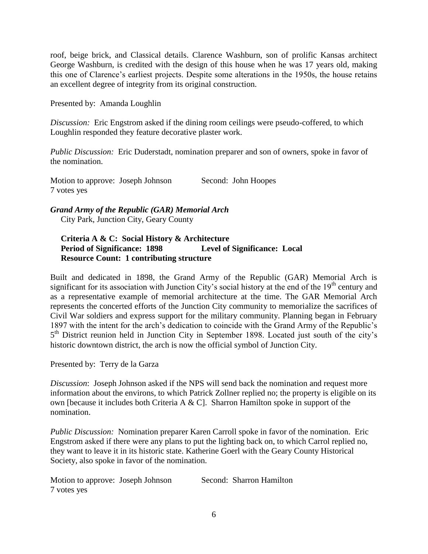roof, beige brick, and Classical details. Clarence Washburn, son of prolific Kansas architect George Washburn, is credited with the design of this house when he was 17 years old, making this one of Clarence's earliest projects. Despite some alterations in the 1950s, the house retains an excellent degree of integrity from its original construction.

Presented by: Amanda Loughlin

*Discussion:* Eric Engstrom asked if the dining room ceilings were pseudo-coffered, to which Loughlin responded they feature decorative plaster work.

*Public Discussion:* Eric Duderstadt, nomination preparer and son of owners, spoke in favor of the nomination.

Motion to approve: Joseph Johnson Second: John Hoopes 7 votes yes

### *Grand Army of the Republic (GAR) Memorial Arch* City Park, Junction City, Geary County

## **Criteria A & C: Social History & Architecture Period of Significance: 1898 Level of Significance: Local Resource Count: 1 contributing structure**

Built and dedicated in 1898, the Grand Army of the Republic (GAR) Memorial Arch is significant for its association with Junction City's social history at the end of the  $19<sup>th</sup>$  century and as a representative example of memorial architecture at the time. The GAR Memorial Arch represents the concerted efforts of the Junction City community to memorialize the sacrifices of Civil War soldiers and express support for the military community. Planning began in February 1897 with the intent for the arch's dedication to coincide with the Grand Army of the Republic's 5<sup>th</sup> District reunion held in Junction City in September 1898. Located just south of the city's historic downtown district, the arch is now the official symbol of Junction City.

Presented by: Terry de la Garza

*Discussion*: Joseph Johnson asked if the NPS will send back the nomination and request more information about the environs, to which Patrick Zollner replied no; the property is eligible on its own [because it includes both Criteria A & C]. Sharron Hamilton spoke in support of the nomination.

*Public Discussion:* Nomination preparer Karen Carroll spoke in favor of the nomination. Eric Engstrom asked if there were any plans to put the lighting back on, to which Carrol replied no, they want to leave it in its historic state. Katherine Goerl with the Geary County Historical Society, also spoke in favor of the nomination.

| Motion to approve: Joseph Johnson |  | Second: Sharron Hamilton |  |
|-----------------------------------|--|--------------------------|--|
| 7 votes yes                       |  |                          |  |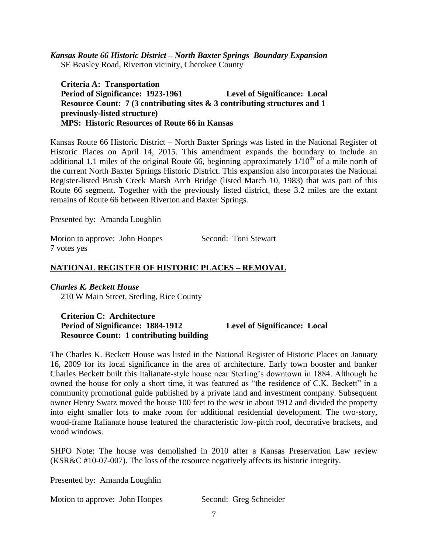*Kansas Route 66 Historic District – North Baxter Springs Boundary Expansion* SE Beasley Road, Riverton vicinity, Cherokee County

 **Criteria A: Transportation Period of Significance: 1923-1961 Level of Significance: Local Resource Count: 7 (3 contributing sites & 3 contributing structures and 1 previously-listed structure) MPS: Historic Resources of Route 66 in Kansas**

Kansas Route 66 Historic District – North Baxter Springs was listed in the National Register of Historic Places on April 14, 2015. This amendment expands the boundary to include an additional 1.1 miles of the original Route 66, beginning approximately  $1/10^{th}$  of a mile north of the current North Baxter Springs Historic District. This expansion also incorporates the National Register-listed Brush Creek Marsh Arch Bridge (listed March 10, 1983) that was part of this Route 66 segment. Together with the previously listed district, these 3.2 miles are the extant remains of Route 66 between Riverton and Baxter Springs.

Presented by: Amanda Loughlin

Motion to approve: John Hoopes Second: Toni Stewart 7 votes yes

## **NATIONAL REGISTER OF HISTORIC PLACES – REMOVAL**

### *Charles K. Beckett House*

210 W Main Street, Sterling, Rice County

## **Criterion C: Architecture Period of Significance: 1884-1912 Level of Significance: Local Resource Count: 1 contributing building**

The Charles K. Beckett House was listed in the National Register of Historic Places on January 16, 2009 for its local significance in the area of architecture. Early town booster and banker Charles Beckett built this Italianate-style house near Sterling's downtown in 1884. Although he owned the house for only a short time, it was featured as "the residence of C.K. Beckett" in a community promotional guide published by a private land and investment company. Subsequent owner Henry Swatz moved the house 100 feet to the west in about 1912 and divided the property into eight smaller lots to make room for additional residential development. The two-story, wood-frame Italianate house featured the characteristic low-pitch roof, decorative brackets, and wood windows.

SHPO Note: The house was demolished in 2010 after a Kansas Preservation Law review (KSR&C #10-07-007). The loss of the resource negatively affects its historic integrity.

Presented by: Amanda Loughlin

Motion to approve: John Hoopes Second: Greg Schneider